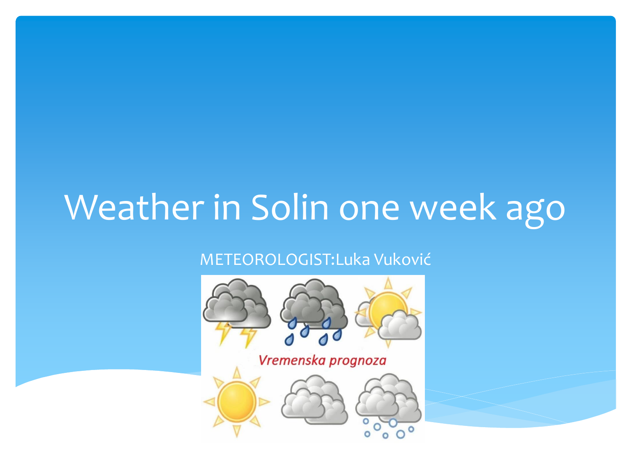#### Weather in Solin one week ago

#### METEOROLOGIST:Luka Vuković

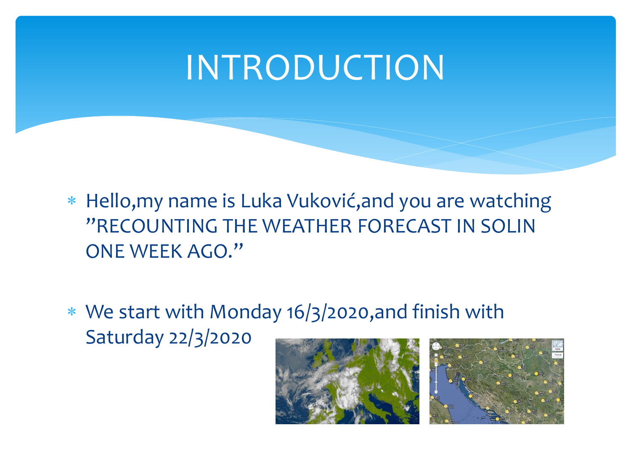#### INTRODUCTION

- Hello,my name is Luka Vuković,and you are watching "RECOUNTING THE WEATHER FORECAST IN SOLIN ONE WEEK AGO."
- We start with Monday 16/3/2020,and finish with Saturday 22/3/2020

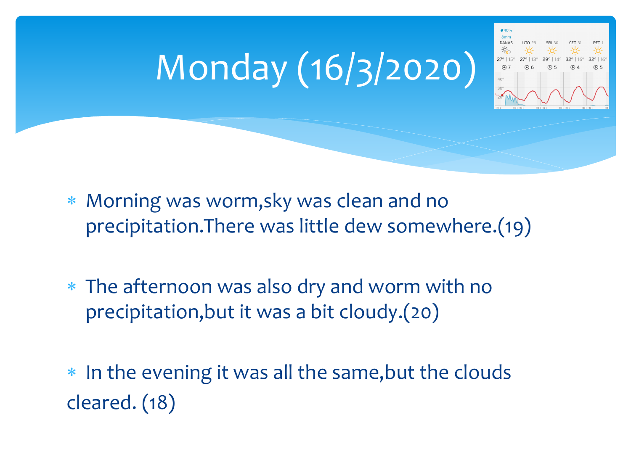# Monday (16/3/2020)



- Morning was worm,sky was clean and no precipitation.There was little dew somewhere.(19)
- The afternoon was also dry and worm with no precipitation,but it was a bit cloudy.(20)

\* In the evening it was all the same, but the clouds cleared. (18)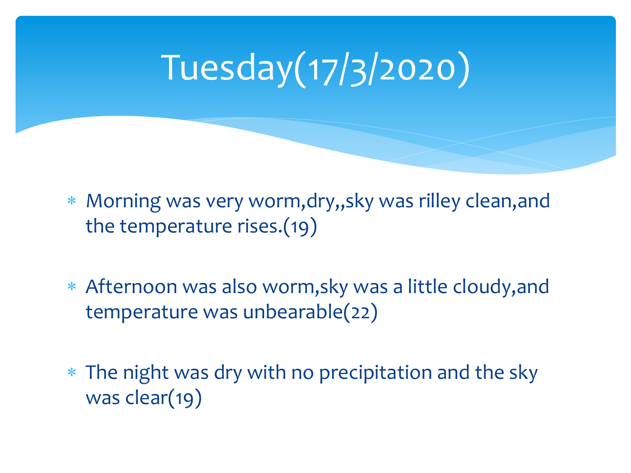# Tuesday(17/3/2020)

- Morning was very worm,dry,,sky was rilley clean,and the temperature rises.(19)
- Afternoon was also worm,sky was a little cloudy,and temperature was unbearable(22)
- The night was dry with no precipitation and the sky was clear(19)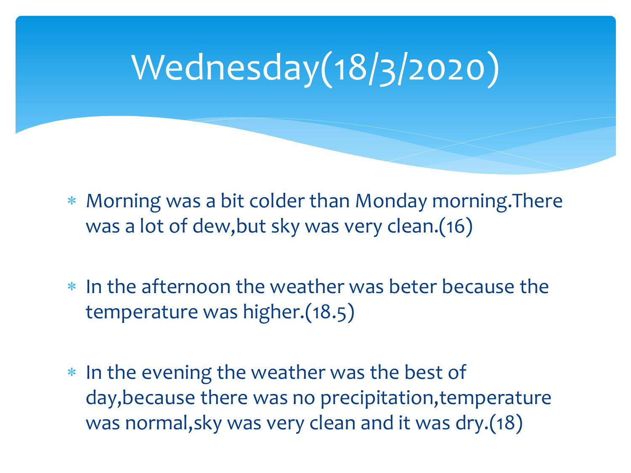### Wednesday(18/3/2020)

 Morning was a bit colder than Monday morning.There was a lot of dew,but sky was very clean.(16)

- In the afternoon the weather was beter because the temperature was higher.(18.5)
- \* In the evening the weather was the best of day,because there was no precipitation,temperature was normal,sky was very clean and it was dry.(18)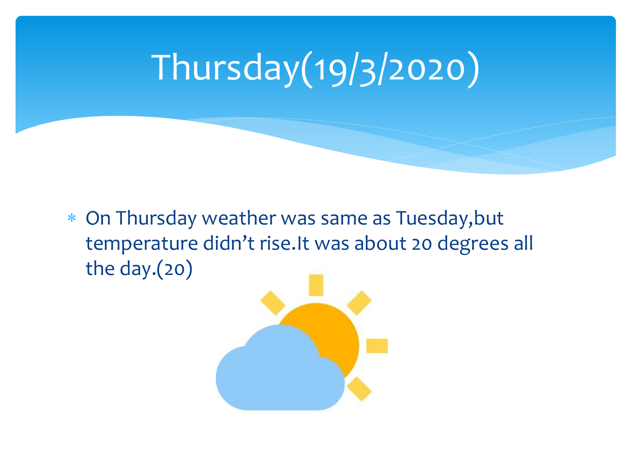### Thursday(19/3/2020)

 On Thursday weather was same as Tuesday,but temperature didn't rise.It was about 20 degrees all the day.(20)

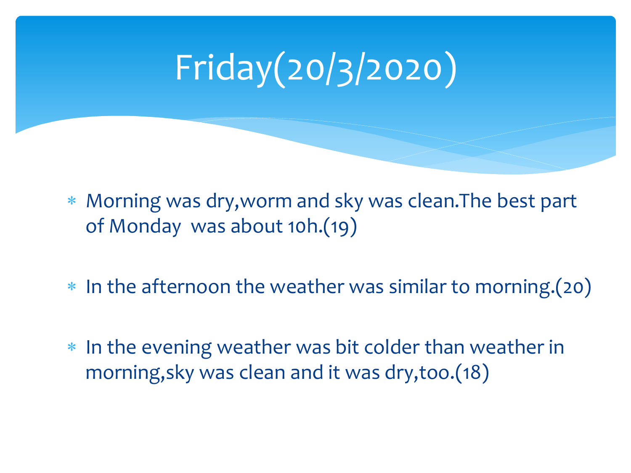# Friday(20/3/2020)

 Morning was dry,worm and sky was clean.The best part of Monday was about 10h.(19)

- \* In the afternoon the weather was similar to morning.(20)
- \* In the evening weather was bit colder than weather in morning,sky was clean and it was dry,too.(18)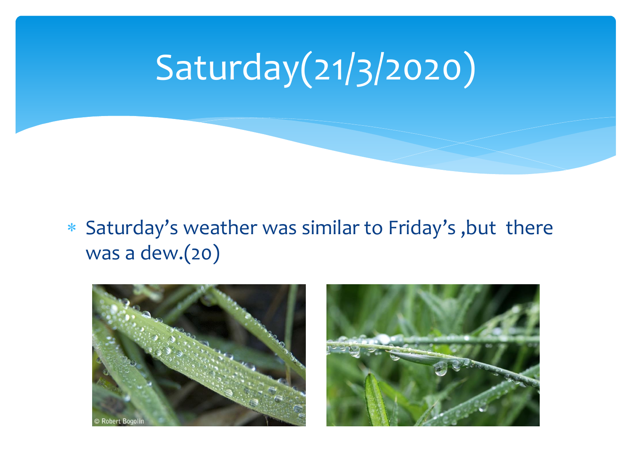### Saturday(21/3/2020)

#### Saturday's weather was similar to Friday's ,but there was a dew.(20)



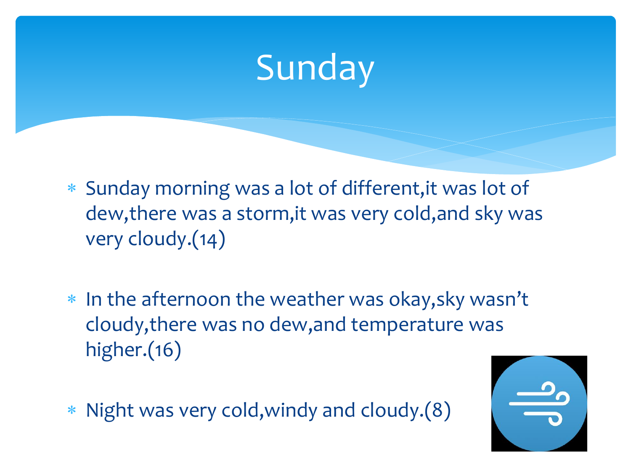#### Sunday

- Sunday morning was a lot of different,it was lot of dew,there was a storm,it was very cold,and sky was very cloudy.(14)
- \* In the afternoon the weather was okay, sky wasn't cloudy,there was no dew,and temperature was higher.(16)
- Night was very cold,windy and cloudy.(8)